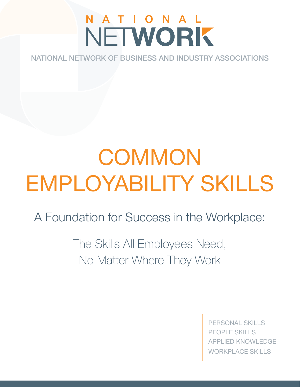## N A T I O N A L NETWORK

NATIONAL NETWORK OF BUSINESS AND INDUSTRY ASSOCIATIONS

# **COMMON** EMPLOYABILITY SKILLS

A Foundation for Success in the Workplace:

The Skills All Employees Need, No Matter Where They Work

> PERSONAL SKILLS PEOPLE SKILLS **IED KNOWLEDGE** WORKPLACE SKILLS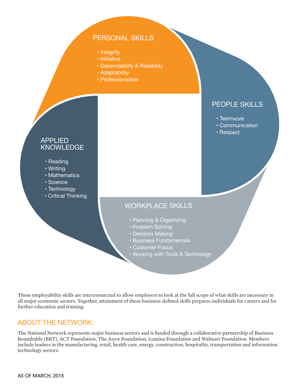## PERSONAL SKILLS

- Integrity
- Initiative
- Dependability & Reliability
- Adaptability
- Professionalism

## APPLIED KNOWLEDGE

- Reading
- Writing
- Mathematics
- Science
- Technology
- Critical Thinking

## PEOPLE SKILLS

- Teamwork
- Communication
- Respect

## WORKPLACE SKILLS

- Planning & Organizing
- Problem Solving
- Decision Making
- Business Fundamentals
- Customer Focus
- Working with Tools & Technology

These employability skills are interconnected to allow employers to look at the full scope of what skills are necessary in all major economic sectors. Together, attainment of these business-defined skills prepares individuals for careers and for further education and training.

## ABOUT THE NETWORK:

The National Network represents major business sectors and is funded through a collaborative partnership of Business Roundtable (BRT), ACT Foundation, The Joyce Foundation, Lumina Foundation and Walmart Foundation. Members include leaders in the manufacturing, retail, health care, energy, construction, hospitality, transportation and information technology sectors.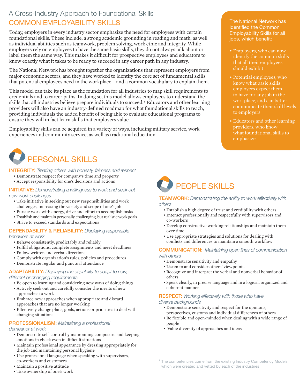## A Cross-Industry Approach to Foundational Skills COMMON EMPLOYABILITY SKILLS

Today, employers in every industry sector emphasize the need for employees with certain foundational skills. These include, a strong academic grounding in reading and math, as well as individual abilities such as teamwork, problem solving, work ethic and integrity. While employers rely on employees to have the same basic skills, they do not always talk about or label them the same way. This makes it difficult for prospective employees and educators to know exactly what it takes to be ready to succeed in any career path in any industry.

The National Network has brought together the organizations that represent employers from major economic sectors, and they have worked to identify the core set of fundamental skills that potential employees need in the workplace – and a common vocabulary to explain them.

This model can take its place as the foundation for all industries to map skill requirements to credentials and to career paths. In doing so, this model allows employees to understand the skills that all industries believe prepare individuals to succeed.\* Educators and other learning providers will also have an industry-defined roadmap for what foundational skills to teach, providing individuals the added benefit of being able to evaluate educational programs to ensure they will in fact learn skills that employers value.

Employability skills can be acquired in a variety of ways, including military service, work experiences and community service, as well as traditional education.



INTEGRITY: *Treating others with honesty, fairness and respect*

- Demonstrate respect for company's time and property
- Accept responsibility for one's decisions and actions

INITIATIVE: *Demonstrating a willingness to work and seek out new work challenges*

- Take initiative in seeking out new responsibilities and work challenges, increasing the variety and scope of one's job
- Pursue work with energy, drive and effort to accomplish tasks
- Establish and maintain personally challenging, but realistic work goals
- Strive to exceed standards and expectations

#### DEPENDABILITY & RELIABILITY: *Displaying responsible*

#### *behaviors at work*

- Behave consistently, predictably and reliably
- Fulfill obligations, complete assignments and meet deadlines
- Follow written and verbal directions
- Comply with organization's rules, policies and procedures
- Demonstrate regular and punctual attendance

#### ADAPTABILITY: *Displaying the capability to adapt to new,*

*different or changing requirements*

- Be open to learning and considering new ways of doing things
- Actively seek out and carefully consider the merits of new approaches to work
- Embrace new approaches when appropriate and discard approaches that are no longer working
- Effectively change plans, goals, actions or priorities to deal with changing situations

### PROFESSIONALISM: *Maintaining a professional*

#### *demeanor at work*

- Demonstrate self-control by maintaining composure and keeping emotions in check even in difficult situations
- Maintain professional appearance by dressing appropriately for the job and maintaining personal hygiene
- Use professional language when speaking with supervisors, co-workers and customers
- Maintain a positive attitude
- Take ownership of one's work



#### TEAMWORK: *Demonstrating the ability to work effectively with others*

- Establish a high degree of trust and credibility with others
- Interact professionally and respectfully with supervisors and co-workers
- Develop constructive working relationships and maintain them over time
- Use appropriate strategies and solutions for dealing with conflicts and differences to maintain a smooth workflow

#### COMMUNICATION: *Maintaining open lines of communication with others*

- Demonstrate sensitivity and empathy
- Listen to and consider others' viewpoints
- Recognize and interpret the verbal and nonverbal behavior of others
- Speak clearly, in precise language and in a logical, organized and coherent manner

#### RESPECT: *Working effectively with those who have diverse backgrounds*

- Demonstrate sensitivity and respect for the opinions, perspectives, customs and individual differences of others
- Be flexible and open-minded when dealing with a wide range of people
- Value diversity of approaches and ideas

The National Network has identified the Common Employability Skills for all jobs, which benefit:

- identify the common skills that all their employees should exhibit
- Potential employees, who know what basic skills employers expect them to have for any job in the workplace, and can better communicate their skill levels to employers
- Educators and other learning providers, who know what foundational skills to emphasize

<sup>&</sup>lt;sup>\*</sup> The competencies come from the existing Industry Competency Models, which were created and vetted by each of the industries